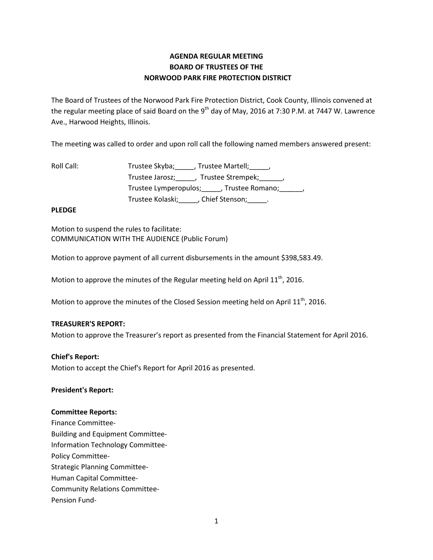# **AGENDA REGULAR MEETING BOARD OF TRUSTEES OF THE NORWOOD PARK FIRE PROTECTION DISTRICT**

The Board of Trustees of the Norwood Park Fire Protection District, Cook County, Illinois convened at the regular meeting place of said Board on the 9<sup>th</sup> day of May, 2016 at 7:30 P.M. at 7447 W. Lawrence Ave., Harwood Heights, Illinois.

The meeting was called to order and upon roll call the following named members answered present:

| Roll Call: | Trustee Skyba; , Trustee Martell; ,                  |
|------------|------------------------------------------------------|
|            | Trustee Jarosz; _____, Trustee Strempek; ______,     |
|            | Trustee Lymperopulos; _____, Trustee Romano; ______, |
|            | Trustee Kolaski;<br>___, Chief Stenson;___           |

## **PLEDGE**

Motion to suspend the rules to facilitate: COMMUNICATION WITH THE AUDIENCE (Public Forum)

Motion to approve payment of all current disbursements in the amount \$398,583.49.

Motion to approve the minutes of the Regular meeting held on April  $11<sup>th</sup>$ , 2016.

Motion to approve the minutes of the Closed Session meeting held on April  $11<sup>th</sup>$ , 2016.

## **TREASURER'S REPORT:**

Motion to approve the Treasurer's report as presented from the Financial Statement for April 2016.

#### **Chief's Report:**

Motion to accept the Chief's Report for April 2016 as presented.

#### **President's Report:**

#### **Committee Reports:**

Finance Committee-Building and Equipment Committee-Information Technology Committee-Policy Committee-Strategic Planning Committee-Human Capital Committee-Community Relations Committee-Pension Fund-